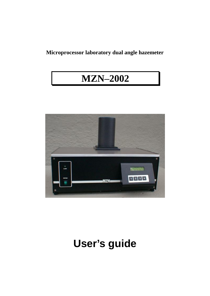## **Microprocessor laboratory dual angle hazemeter**

## **MZN 2002**



# **User's guide**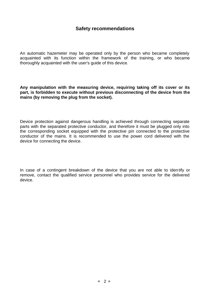## **Safety recommendations**

An automatic hazemeter may be operated only by the person who became completely acquainted with its function within the framework of the training, or who became thoroughly acquainted with the user's guide of this device.

**Any manipulation with the measuring device, requiring taking off its cover or its part, is forbidden to execute without previous disconnecting of the device from the mains (by removing the plug from the socket).**

Device protection against dangerous handling is achieved through connecting separate parts with the separated protective conductor, and therefore it must be plugged only into the corresponding socket equipped with the protective pin connected to the protective conductor of the mains. It is recommended to use the power cord delivered with the device for connecting the device.

In case of a contingent breakdown of the device that you are not able to iden tify or remove, contact the qualified service personnel who provides service for the delivered device.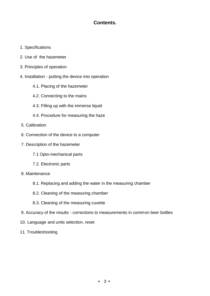## **Contents.**

- 1. Specifications
- 2. Use of the hazemeter
- 3. Principles of operation
- 4. Installation putting the device into operation
	- 4.1. Placing of the hazemeter
	- 4.2. Connecting to the mains
	- 4.3. Filling up with the immerse liquid
	- 4.4. Procedure for measuring the haze
- 5. Calibration
- 6. Connection of the device to a computer
- 7. Description of the hazemeter
	- 7.1 Opto-mechanical parts
	- 7.2. Electronic parts
- 8. Maintenance
	- 8.1. Replacing and adding the water in the measuring chamber
	- 8.2. Cleaning of the measuring chamber
	- 8.3. Cleaning of the measuring cuvette
- 9. Accuracy of the results corrections to measurements in common beer bottles
- 10. Language and units selection, reset
- 11. Troubleshooting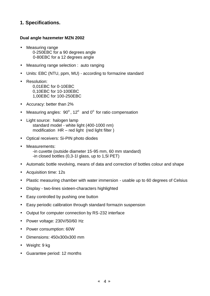## **1. Specifications.**

#### **Dual angle hazemeter MZN 2002**

- Measuring range 0-250EBC for a 90 degrees angle 0-80EBC for a 12 degrees angle
- Measuring range selection : auto ranging
- Units: EBC (NTU, ppm, MU) according to formazine standard
- Resolution: 0,01EBC for 0-10EBC 0,10EBC for 10-100EBC 1,00EBC for 100-250EBC
- Accuracy: better than 2%
- Measuring angles:  $90^{\circ}$ , 12 $^{\circ}$  and 0 $^{\circ}$  for ratio compensation
- Light source: halogen lamp standard model - white light (400-1000 nm) modification  $HR - red$  light (red light filter)
- Optical receivers: Si-PIN photo diodes
- Measurements:
	- -in cuvette (outside diameter 15-95 mm, 60 mm standard) -in closed bottles (0,3-1l glass, up to 1,5l PET)
- Automatic bottle revolving, means of data and correction of bottles colour and shape
- Acquisition time: 12s
- Plastic measuring chamber with water immersion usable up to 60 degrees of Celsius
- Display two-lines sixteen-characters highlighted
- Easy controlled by pushing one button
- Easy periodic calibration through standard formazin suspension
- Output for computer connection by RS-232 interface
- Power voltage: 230V/50/60 Hz
- Power consumption: 60W
- Dimensions: 450x300x300 mm
- Weight: 9 kg
- Guarantee period: 12 months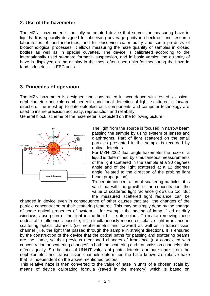## **2. Use of the hazemeter**

The MZN hazemeter is the fully automated device that serves for measuring haze in liquids. It is specially designed for observing beverage purity in check-out and research laboratories of food industries, and for observing water purity and some products of biotechnological processes. It allows measuring the haze quantity of samples in closed bottles as well as in special cuvettes. The device is calibrated according to the internationally used standard formazin suspension, and in basic version the quantity of haze is displayed on the display in the most often used units for measuring the haze in food industries - in EBC units.

## **3. Principles of operation**

The MZN hazemeter is designed and constructed in accordance with tested, classical, nephelometric principle combined with additional detection of light scattered in forward direction. The most up to date optoelectronic components and computer technology are used to insure precision accuracy, reproduction and reliability.

General block scheme of the hazemeter is depicted on the following picture:



The light from the source is focused in narrow beam passing the sample by using system of lenses and diaphragms. Part of light scattered on the small particles presented in the sample is recorded by optical detectors.

For MZN-2002 dual angle hazemeter the haze of a liquid is determined by simultaneous measurements of the light scattered in the sample at a 90 degrees angle and of the light scattered at a 12 degrees angle (related to the direction of the probing light beam propagation).

To certain concentration of scattering particles, it is valid that with the growth of the concentration the value of scattered light radiance grows up too. But the measured scattered light radiance can be

changed in device even in consequence of other causes that are the changes of the particle concentration or their scattering features. This may be simply done by the change of some optical properties of system - for example the ageing of lamp, filled or dirty windows, absorption of the light in the liguid - i.e. its colour. To make removing these undesirable influences possible, it is simultaneously measured relative light irradiance in scattering optical channels (i.e. nephelometric and forward) as well as in transmission channel ( i.e. the light that passed through the sample in straight direction). It is ensured by the construction of the device that the optical paths for passing and scattering beams are the same, so that previous mentioned changes of irradiance (not connected with concentration or scattering changes] in both the scattering and transmission channels take effect equally. So the ratio of UN/UT values of photo detectors output signals from the nephelometric and transmission channels determines the haze known as relative haze that is independent on the above mentioned factors.

This relative haze is then converted to the value of haze in units of a chosen scale by means of device calibrating formula (saved in the memory) which is based on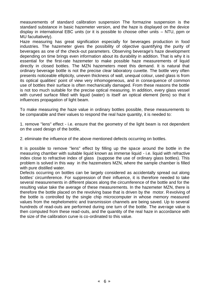measurements of standard calibration suspension The formazine suspension is the standard substance in basic hazemeter version, and the haze is displayed on the device display in international EBC units (or it is possible to choose other units  $-$  NTU, ppm or MU facultatively).

Haze measuring has great signification especially for beverages production in food industries. The hazemeter gives the possibility of objective quantifying the purity of beverages as one of the check-out parameters. Observing beverage's haze development depending on time brings even information about its durability in addition. That is why it is essential for the first-rate hazemeter to make possible haze measurements of liquid directly in closed bottles. The MZN hazemeters meet this demand. It is natural that ordinary beverage bottle is not the precise clear laboratory cuvette. The bottle very often presents noticeable ellipticity, uneven thickness of wall, unequal colour, used glass is from its optical qualities' point of view very inhomogeneous, and in consequence of common use of bottles their surface is often mechanically damaged. From these reasons the bottle is not too much suitable for the precise optical measuring. In addition, every glass vessel with curved surface filled with liquid (water) is itself an optical element (lens) so that it influences propagation of light beam.

To make measuring the haze value in ordinary bottles possible, these measurements to be comparable and their values to respond the real haze quantity, it is needed to:

1. remove "lens" effect - i.e. ensure that the geometry of the light beam is not dependent on the used design of the bottle,

2. eliminate the influence of the above mentioned defects occurring on bottles.

It is possible to remove "lens" effect by filling up the space around the bottle in the measuring chamber with suitable liquid known as immerse liquid - i.e. liquid with refractive index close to refractive index of glass (suppose the use of ordinary glass bottles). This problem is solved in this way in the hazemeters MZN, where the sample chamber is filled with pure distilled water.

Defects occurring on bottles can be largely considered as accidentally spread out along bottles' circumference. For suppression of their influence, it is therefore needed to take several measurements in different places along the circumference of the bottle and for the resulting value take the average of these measurements. In the hazemeter MZN, there is therefore the bottle placed on the revolving base that is driven by the motor. Revolving of the bottle is controlled by the single chip microcomputer in whose memory measured values from the nephelometric and transmission channels are being saved. Up to several hundreds of read-outs are performed during one turn of the bottle. The average value is then computed from these read-outs, and the quantity of the real haze in accordance with the size of the calibration curve is co-ordinated to this value.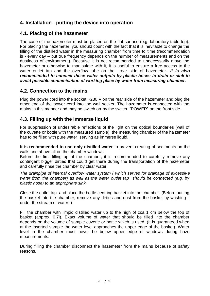## **4. Installation - putting the device into operation**

## **4.1. Placing of the hazemeter**

The case of the hazemeter must be placed on the flat surface (e.g. laboratory table top). For placing the hazemeter, you should count with the fact that it is inevitable to change the filling of the distilled water in the measuring chamber from time to time (recommendation is - every day – but true frequency depends on the number of measurements and on the dustiness of environment). Because it is not recommended to unnecessarily move the hazemeter or otherwise to manipulate with it, it is useful to ensure a free access to the water outlet tap and the overflow tube on the rear side of hazemeter. *It is also recommended to connect these water outputs by plastic hoses to drain or sink to avoid possible contamination of working place by water from measuring chamber.*

## **4.2. Connection to the mains**

Plug the power cord into the socket ~230 V on the rear side of the hazemeter and plug the other end of the power cord into the wall socket. The hazemeter is connected with the mains in this manner and may be switch on by the switch "POWER' on the front side.

## **4.3. Filling up with the immerse liquid**

For suppression of undesirable reflections of the light on the optical boundaries (wall of the cuvette or bottle with the measured sample), the measuring chamber of the ha zemeter has to be filled with pure water serving as immerse liquid.

**It is recommended to use only distilled water** to prevent creating of sediments on the walls and above all on the chamber windows.

Before the first filling up of the chamber, it is recommended to carefully remove any contingent bigger dirties that could get there during the transportation of the hazemeter and carefully rinse the chamber by clear water.

*The drainpipe of internal overflow water system ( which serves for drainage of excessive water from the chamber) as well as the water outlet tap should be connected (e.g. by plastic hose) to an appropriate sink.*

Close the outlet tap and place the bottle centring basket into the chamber. (Before putting the basket into the chamber, remove any dirties and dust from the basket by washing it under the stream of water. )

Fill the chamber with limpid distilled water up to the high of cca 1 cm below the top of basket (approx. 0.7l). Exact volume of water that should be filled into the chamber depends on the volume of sample cuvette or bottle which is used. (It is guaranteed when at the inserted sample the water level approaches the upper edge of the basket). Water level in the chamber must never be below upper edge of windows during haze measurements.

During filling the chamber disconnect the hazemeter from the mains because of safety reasons.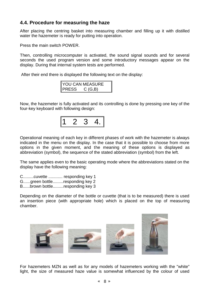## **4.4. Procedure for measuring the haze**

After placing the centring basket into measuring chamber and filling up it with distilled water the hazemeter is ready for putting into operation.

Press the main switch POWER.

Then, controlling microcomputer is activated, the sound signal sounds and for several seconds the used program version and some introductory messages appear on the display. During that internal system tests are performed.

After their end there is displayed the following text on the display:

|              | <b>YOU CAN MEASURE</b> |
|--------------|------------------------|
| <b>PRESS</b> | C(G,B)                 |

Now, the hazemeter is fully activated and its controlling is done by pressing one key of the four-key keyboard with following design:



Operational meaning of each key in different phases of work with the hazemeter is always indicated in the menu on the display. In the case that it is possible to choose from more options in the given moment, and the meaning of these options is displayed as abbreviation (symbol), the sequence of the stated abbreviation (symbol) from the left.

The same applies even to the basic operating mode where the abbreviations stated on the display have the following meaning:

C.........cuvette ............ responding key 1

G......green bottle.........responding key 2

B......brown bottle.........responding key 3

Depending on the diameter of the bottle or cuvette (that is to be measured) there is used an insertion piece (with appropriate hole) which is placed on the top of measuring chamber.



For hazemeters MZN as well as for any models of hazemeters working with the "white" light, the size of measured haze value is somewhat influenced by the colour of used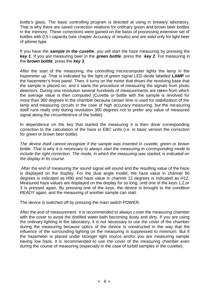bottle's glass. The basic controlling program is directed at using in brewery laboratory. That is why there are saved correction relations for ordinary green and brown beer bottles in the memory. These corrections were gained on the basis of processing extensive set of bottles with 0,5 l capacity (see chapter Accuracy of results) and are valid only for light beer of pilsner type.

If you have the *sample in the cuvette*, you will start the haze measuring by pressing the *key 1*. If you are measuring beer in the *green bottle*, press the *key 2*. For measuring in the *brown bottle*, press the *key 3*.

After the start of the measuring, the controlling microcomputer lights the lamp in the hazemeter up. That is indicated by the light of green signal LED-diode labelled **LAMP** on the hazemeter's front panel. Then, it turns on the motor that drives the revolving base that the sample is placed on, and it starts the procedure of measuring the signals from photo detectors. During one revolution several hundreds of measurements are taken from which the average value is then computed (Cuvette or bottle with the sample is revolved for more than 360 degrees in the chamber because certain time is used for stabilization of the lamp and measuring circuits in the case of high accuracy measuring, but the measuring itself runs really only during revolution 360 degrees not to prefer any value of measured signal along the circumference of the bottle).

In dependence on the key that started the measuring it is then done corresponding correction to the calculation of the haze in EBC units (i.e. in basic version the correction for green or brown beer bottle).

*The device itself cannot recognize if the sample was inserted in cuvette, green or brown bottle. That is why it is necessary to always start the measuring in corresponding mode to include the right correction. The mode, in which the measuring was started, is indicated on the display in its course*.

.After the end of measuring the sound signal will sound and the resulting value of the haze is displayed on the display. For the dual angle model, the haze value in channel 90 degrees is indicated as H90 and haze value in channel 12 degrees is indicated as H12. Measured haze values are displayed on the display for so long, until one of the keys 1,2,or 3 is pressed again. By pressing one of the keys, the device is brought to the condition READY again, and the measuring of another sample can start.

The device is switched off by pressing the main switch POWER.

After the end of measurement it is recommended to always cover the measuring chamber with the cover to avoid the distilled water bath becoming dusty and dirty. If you are using the ordinary lighting in the laboratory, it is not necessary to use the cover of the chamber during the measuring because optics of the device is constructed in the way that the influence of the surrounding lighting on the measuring is suppressed to minimum. But if the hazemeter is placed under stronger light source and/or you are measuring sample having low haze, it is recommended to use the cover of the measuring chamber even during the course of measuring (especially in the case of turbid samples in the cuvette).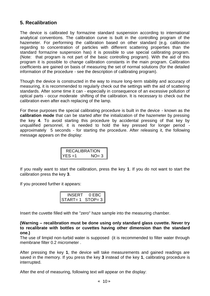## **5. Recalibration**

The device is calibrated by formazine standard suspension according to international analytical conventions. The calibration curve is built in the controlling program of the hazemeter. For performing the calibration based on other standard (e.g. calibration regarding to concentration of particles with different scattering properties than the standard formazine suspension has) it is possible to use special calibrating program. (Note: that program is not part of the basic controlling program). With the aid of this program it is possible to change calibration constants in the main program. Calibration coefficients are gained on basis of measuring the set of normal solutions (for the detailed information of the procedure - see the description of calibrating program).

Though the device is constructed in the way to insure long-term stability and accuracy of measuring, it is recommended to regularly check out the settings with the aid of scattering standards. After some time it can - especially in consequence of an excessive pollution of optical parts - occur moderate shifting of the calibration. It is necessary to check out the calibration even after each replacing of the lamp.

For these purposes the special calibrating procedure is built in the device - known as the **calibration mode** that can be started after the initialization of the hazemeter by pressing the key **4**. To avoid starting this procedure by accidental pressing of that key by unqualified personnel, it is needed to hold the key pressed for longer period approximately 5 seconds - for starting the procedure. After releasing it, the following message appears on the display:

| <b>RECALIBRATION</b> |        |
|----------------------|--------|
| YFS =1               | $NO=3$ |

If you really want to start the calibration, press the key **1**. If you do not want to start the calibration press the key **3**.

If you proceed further it appears:

| <b>INSERT</b> | $0$ EBC $\parallel$ |
|---------------|---------------------|
| $START = 1$   | STOP= $3$           |

Insert the cuvette filled with the "zero" haze sample into the measuring chamber.

**(Warning recalibration must be done using only standard glass cuvette. Never try to recalibrate with bottles or cuvettes having other dimension than the standard one.)**

The use of limpid non-turbid water is supposed (it is recommended to filter water through membrane filter 0.2 micrometer .

After pressing the key **1**, the device will take measurements and gained readings are saved in the memory. If you press the key **3** instead of the key **1**, calibrating procedure is interrupted.

After the end of measuring, following text will appear on the display: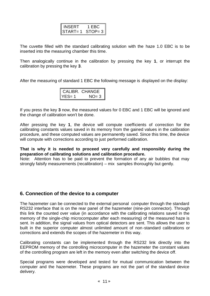| INSERT      | 1 EBC l   |
|-------------|-----------|
| $START = 1$ | STOP= $3$ |

The cuvette filled with the standard calibrating solution with the haze 1.0 EBC is to be inserted into the measuring chamber this time.

Then analogically continue in the calibration by pressing the key **1**, or interrupt the calibration by pressing the key **3**.

After the measuring of standard 1 EBC the following message is displayed on the display:

|           | CALIBR. CHANGE |
|-----------|----------------|
| $YFS = 1$ | $NO=3$         |

If you press the key **3** now, the measured values for 0 EBC and 1 EBC will be ignored and the change of calibration won't be done.

After pressing the key **1**, the device will compute coefficients of correction for the calibrating constants values saved in its memory from the gained values in the calibration procedure, and these computed values are permanently saved. Since this time, the device will compute with corrections according to just performed calibration.

**That is why it is needed to proceed very carefully and responsibly during the preparation of calibrating solutions and calibration procedure.**

Note: Attention has to be paid to prevent the formation of any air bubbles that may strongly falsify measurements (recalibration) - mix samples thoroughly but gently.

## **6. Connection of the device to a computer**

The hazemeter can be connected to the external personal computer through the standard RS232 interface that is on the rear panel of the hazemeter (nine-pin connector). Through this link the counted over value (in accordance with the calibrating relations saved in the memory of the single-chip microcomputer after each measuring) of the measured haze is sent. In addition, the signal values from optical detectors are sent. This allows the user to built in the superior computer almost unlimited amount of non-standard calibrations or corrections and extends the scopes of the hazemeter in this way.

Calibrating constants can be implemented through the RS232 link directly into the EEPROM memory of the controlling microcomputer in the hazemeter the constant values of the controlling program are left in the memory even after switching the device off.

Special programs were developed and tested for mutual communication between the computer and the hazemeter. These programs are not the part of the standard device delivery.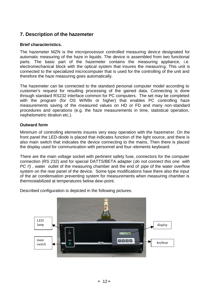## **7. Description of the hazemeter**

#### **Brief characteristics.**

The hazemeter MZN is the microprocessor controlled measuring device designated for automatic measuring of the haze in liquids. The device is assembled from two functional parts. The basic part of the hazemeter contains the measuring appliance, i.e. electromechanical block with the optical system that insures the measuring. This unit is connected to the specialized microcomputer that is used for the controlling of the unit and therefore the haze measuring goes automatically.

The hazemeter can be connected to the standard personal computer model according to customer's request for resulting processing of the gained data. Connecting is done through standard RS232 interface common for PC computers. The set may be completed with the program (for OS WIN9x or higher) that enables PC controlling haze measurements saving of the measured values on HD or FD and many non-standard procedures and operations (e.g. the haze measurements in time, statistical operation, nephelometric titration etc.).

#### **Outward form**

Minimum of controlling elements insures very easy operation with the hazemeter. On the front panel the LED-diode is placed that indicates function of the light source, and there is also main switch that indicates the device connecting to the mains. Then there is placed the display used for communication with personnel and four-elements keyboard.

There are the main voltage socket with pertinent safety fuse, connectors for the computer connection (RS 232) and for special DATTS/BETA adapter (*do not connect this one with PC !!)* , water outlet of the measuring chamber and the end of pipe of the water overflow system on the rear panel of the device. Some type modifications have there also the input of the air condensation preventing system for measurements when measuring chamber is thermostabilized at temperatures below dew-point.

Described configuration is depicted in the following pictures.

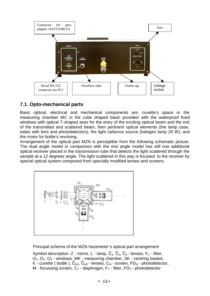

## **7.1. Opto-mechanical parts**

Basic optical, electrical and mechanical components are: cuvette's space or the measuring chamber MC in the cube shaped basin provided with the waterproof fixed windows with optical T-shaped axes for the entry of the exciting optical beam and the exit of the transmitted and scattered beam, then pertinent optical elements (the lamp case, tubes with lens and photodetectors), the light radiance source (halogen lamp 20 W), and the motor for bottle's revolving.

Arrangement of the optical part MZN is perceptible from the following schematic picture. The dual angle model in comparison with the one angle model has still one additional optical receiver placed in the transmission tube that detects the light scattered through the sample at a 12 degrees angle. The light scattered in this way is focused to the receiver by special optical system composed from specially modified lenses and screens.



Principal schema of the MZN hazemeter's optical part arrangement

Symbol description: Z - mirror, L - lamp,  $\check{C}_1$ ,  $\check{C}_2$ ,  $\check{C}_3$  - lenses, F<sub>1</sub> - filter,  $O<sub>1</sub>$ ,  $O<sub>2</sub>$ ,  $O<sub>3</sub>$  - windows, MK - measuring chamber, SK - centring basket, K - cuvette ( bottle ),  $\check{C}_{N1}$ ,  $\check{C}_{N2}$  - lenses,  $C_N$  - screen,  $FD_N$  - photodetector, M - focussing screen,  $C_T$  - diaphragm,  $F_T$  - filter,  $FD_T$  - photodetector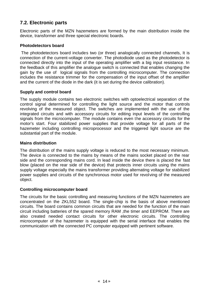## **7.2. Electronic parts**

Electronic parts of the MZN hazemeters are formed by the main distribution inside the device, transformer and three special electronic boards.

#### **Photodetectors board**

The photodetectors board includes two (or three) analogically connected channels, It is connection of the current-voltage converter. The photodiode used as the photodetector is connected directly into the input of the operating amplifier with a big input resistance. In the feedback of this amplifier the analogue switch is connected that enables changing the gain by the use of logical signals from the controlling microcomputer. The connection includes the resistance trimmer for the compensation of the input offset of the amplifier and the current of the diode in the dark (it is set during the device calibration).

#### **Supply and control board**

The supply module contains two electronic switches with optoelectrical separation of the control signal determined for controlling the light source and the motor that controls revolving of the measured object. The switches are implemented with the use of the integrated circuits and with accessory circuits for editing input levels of the controlling signals from the microcomputer. The module contains even the accessory circuits for the motor's start. Four stabilized power supplies that provide voltage for all parts of the hazemeter including controlling microprocessor and the triggered light source are the substantial part of the module.

#### **Mains distribution**

The distribution of the mains supply voltage is reduced to the most necessary minimum. The device is connected to the mains by means of the mains socket placed on the rear side and the corresponding mains cord. In lead inside the device there is placed the fast blow (placed on the rear side of the device) that protects inner circuits using the mains supply voltage especially the mains transformer providing alternating voltage for stabilized power supplies and circuits of the synchronous motor used for revolving of the measured object.

#### **Controlling microcomputer board**

The circuits for the basic controlling and measuring functions of the MZN hazemeters are concentrated on the ZKL552 board. The single-chip is the basis of above mentioned circuits. The board contains common circuits that are needed for the function of the main circuit including batteries of the spared memory RAM ,the timer and EEPROM. There are also created needed contact circuits for other electronic circuits. The controlling microcomputer of the hazemeter is equipped with the serial interface that enables the communication with the connected PC computer equipped with pertinent software.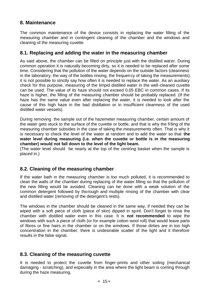## **8. Maintenance**

The common maintenance of the device consists in replacing the water filling of the measuring chamber and in contingent cleaning of the chamber and the windows and cleaning of the measuring cuvette.

## **8.1. Replacing and adding the water in the measuring chamber**

As said above, the chamber can be filled on principle just with the distilled water. During common operation it is naturally becoming dirty, so it is needed to be replaced after some time. Considering that the pollution of the water depends on the outside factors (cleanness in the laboratory, the way of the bottles rinsing, the frequency of taking the measurements) it is not possible to strictly say how often it is needed to replace the water. As an auxiliary check for this purpose, measuring of the limpid distilled water in the well-cleaned cuvette can be used. The value of its haze should not exceed 0,05 EBC in common cases. If its haze is higher, the filling of the measuring chamber should be probably replaced. (If the haze has the same value even after replacing the water, it is needed to look after the cause of this high haze in the bad distillation or in insufficient cleanness of the used distilled water vessels).

During removing the sample out of the hazemeter measuring chamber, certain amount of the water gets stuck to the surface of the cuvette or bottle, and that is why the fi lling of the measuring chamber subsides in the case of taking the measurements often. That is why it is necessary to check the level of the water at random and to add the water so that **the water level during measuring (i.e. when the cuvette or bottle is in the measuring chamber) would not fall down to the level of the light beam.**

(The water level should be nearly at the top of the centring basket when the sample is placed in.)

## **8.2. Cleaning of the measuring chamber**

If the water bath in the measuring chamber is too much polluted, it is recommended to clean the walls of the chamber during replacing of the water filling so that the pollution of the new filling would be avoided. Cleaning can be done with a weak solution of the common detergent followed by thorough and multiple rinsing of the chamber with clear and distilled water (removing of the detergent's rests).

The windows in the chamber should be cleaned in the same way, if needed they can be wiped with a soft piece of cloth (piece of skin) dipped in spirit. Don't forget to rinse the chamber with distilled water even in this case. It is **not recommended** to wipe the windows with such a piece of cloth (or for example cotton-wool roll) that would leave parts of fibres or fine hairs in the chamber or on the windows. If those dirties are in too high concentration in the chamber, there is undesirable scatter of the light and it therefore results in the false signal.

## **8.3. Cleaning of the measuring cuvette**

It is needed to protect the cuvette from finger-prints and other soiling (mechanical damaging - scratching), and especially in the area where the light beam is coming through during the haze measuring.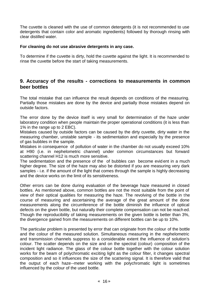The cuvette is cleaned with the use of common detergents (it is not recommended to use detergents that contain color and aromatic ingredients) followed by thorough rinsing with clear distilled water.

#### **For cleaning do not use abrasive detergents in any case.**

To determine if the cuvette is dirty, hold the cuvette against the light. It is recommended to rinse the cuvette before the start of taking measurements.

#### **9. Accuracy of the results - corrections to measurements in common beer bottles**

The total mistake that can influence the result depends on conditions of the measuring. Partially those mistakes are done by the device and partially those mistakes depend on outside factors.

The error done by the device itself is very small for determination of the haze under laboratory condition when people maintain the proper operational conditions (it is less than 1% in the range up to 2 EBC).

Mistakes caused by outside factors can be caused by the dirty cuvette, dirty water in the measuring chamber, unstable sample - its sedimentation and especially by the presence of gas bubbles in the sample.

Mistakes in consequence of pollution of water in the chamber do not usually exceed 10% at H90 (i.e. in nephelometric channel) under common circumstances but forward scattering channel H12 is much more sensitive.

The sedimentation and the presence of the of bubbles can become evid ent in a much higher degree. The size of the haze may also be distorted if you are measuring very dark samples - i.e. if the amount of the light that comes through the sample is highly decreasing and the device works on the limit of its sensitiveness.

Other errors can be done during evaluation of the beverage haze measured in closed bottles. As mentioned above, common bottles are not the most suitable from the point of view of their optical qualities for measuring the haze. The revolving of the bottle in the course of measuring and ascertaining the average of the great amount of the done measurements along the circumference of the bottle diminish the influence of optical defects on the given bottle, but naturally their complete compensation can not be reach ed. Though the reproducibility of taking measurements on the given bottle is better than 3%, the divergence gained from the measurements on different bottles can be up to 10%.

The particular problem is presented by error that can originate from the colour of the bottle and the colour of the measured solution. Simultaneous measuring in the nephelometric and transmission channels suppress to a considerable extent the influence of solution's colour. The scatter depends on the size and on the spectral (colour) composition of the incident light radiance. The glass of the colour bottle together with the colour solution works for the beam of polychromatic exciting light as the colour filter, it changes spectral composition and so it influences the size of the scattering signal. It is therefore valid that the output of each haze--meter working with the polychromatic light is sometimes influenced by the colour of the used bottle.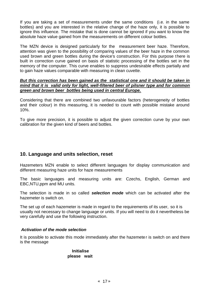If you are taking a set of measurements under the same conditions (i.e. in the same bottles) and you are interested in the relative change of the haze only, it is possible to ignore this influence. The mistake that is done cannot be ignored if you want to know the absolute haze value gained from the measurements on different colour bottles.

The MZN device is designed particularly for the measurement beer haze. Therefore, attention was given to the possibility of comparing values of the beer haze in the common used brown and green bottles during the device's construction. For this purpose there is built in correction curve gained on basis of statistic processing of the bottles set in the memory of the computer. This curve enables to suppress undesirable effects partially and to gain haze values comparable with measuring in clean cuvette.

#### *But this correction has been gained as the statistical one and it should be taken in mind that it is valid only for light, well-filtered beer of pilsner type and for common green and brown beer bottles being used in central Europe.*

Considering that there are combined two unfavourable factors (heterogeneity of bottles and their colour) in this measuring, it is needed to count with possible mistake around 10%.

To give more precision, it is possible to adjust the given correction curve by your own calibration for the given kind of beers and bottles.

## **10. Language and units selection, reset**

Hazemeters MZN enable to select different languages for display communication and different measuring haze units for haze measurements

The basic languages and measuring units are: Czechs, English, German and EBC,NTU,ppm and MU units.

The selection is made in so called *selection mode* which can be activated after the hazemeter is switch on.

The set up of each hazemeter is made in regard to the requirements of its user, so it is usually not necessary to change language or units. If you will need to do it nevertheless be very carefully and use the following instruction.

#### *Activation of the mode selection*

It is possible to activate this mode immediately after the hazemeter is switch on and there is the message

#### **Initialise please wait**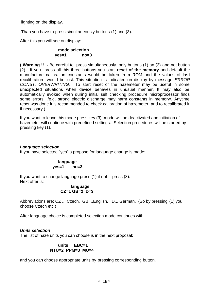lighting on the display.

Than you have to press simultaneously buttons (1) and (3).

After this you will see on display:

#### **mode selection yes=1 no=3**

**( Warning !! -** Be careful to press simultaneously only buttons (1) an (3) and not button {2). If you press all this three buttons you start **reset of the memory** and default the manufacture calibration constants would be taken from ROM and the values of last recalibration would be lost. This situation is indicated on display by message *ERROR CONST, OVERWRITING.* To start reset of the hazemeter may be useful in some unexpected situations when device behaves in unusual manner. It may also be automatically evoked when during initial self checking procedure microprocessor finds some errors /e.g. strong electric discharge may harm constants in memory/. Anytime reset was done it is recommended to check calibration of hazemeter and to recalibrated it if necessary.)

If you want to leave this mode press key (3) mode will be deactivated and initiation of hazemeter will continue with predefined settings. Selection procedures will be started by pressing key (1).

#### *Language selection*

If you have selected "yes' a propose for language change is made:

**language yes=1 no=3**

If you want to change language press (1) if not - press (3). Next offer is:

#### **language CZ=1 GB=2 D=3**

Abbreviations are: CZ ... Czech, GB ...English, D... German. (So by pressing (1) you choose Czech etc.)

After language choice is completed selection mode continues with:

#### *Units selection*

The list of haze units you can choose is in the next proposal:

#### **units EBC=1 NTU=2 PPM=3 MU=4**

and you can choose appropriate units by pressing corresponding button.

## $C$  18  $E$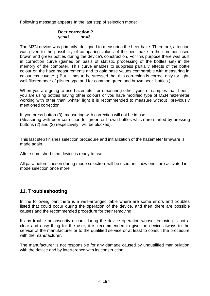Following message appears In the last step of selection mode:

#### **Beer correction ? yes=1 no=3**

The MZN device was primarily designed to measuring the beer haze. Therefore, attention was given to the possibility of comparing values of the beer haze in the common used brown and green bottles during the device's construction. For this purpose there was built in correction curve (gained on basis of statistic processing of the bottles set) in the memory of the computer. This curve enables to suppress partially effects of the bottle colour on the haze measurements and to gain haze values comparable with measuring in colourless cuvette. ( But it has to be stressed that this correction is correct only for light, well-filtered beer of pilsner type and for common green and brown beer bottles.)

When you are going to use hazemeter for measuring other types of samples than beer , you are using bottles having other colours or you have modified type of MZN hazemeter working with other than "white" light it is recommended to measure without previously mentioned correction.

If you press button (3) measuring with correction will not be in use. (Measuring with beer correction for green or brown bottles which are started by pressing buttons (2) and (3) respectively will be blocked).

This last step finishes selection procedure and initialization of the hazemeter firmware is made again.

After some short time device is ready to use.

All parameters chosen during mode selection will be used until new ones are activated in mode selection once more.

## **11. Troubleshooting**

In the following part there is a well-arranged table where are some errors and troubles listed that could occur during the operation of the device, and then there are possible causes and the recommended procedure for their removing

If any trouble or obscurity occurs during the device operation whose removing is not a clear and easy thing for the user, it is recommended to give the device always to the service of the manufacturer or to the qualified service or at least to consult the procedure with the manufacturer.

The manufacturer is not responsible for any damage caused by unqualified manipulation with the device and by interference with its construction.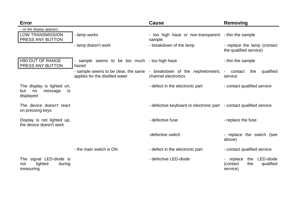| Error                                                                 |                                                                         | <b>Cause</b>                                                        | Removing                                                                |
|-----------------------------------------------------------------------|-------------------------------------------------------------------------|---------------------------------------------------------------------|-------------------------------------------------------------------------|
| - on the display appears:<br><b>LOW TRANSMISSION</b>                  | - lamp works                                                            | - too high haze or non-transparent - thin the sample                |                                                                         |
| PRESS ANY BUTTON                                                      |                                                                         | sample                                                              |                                                                         |
|                                                                       | - lamp doesn't work                                                     | - breakdown of the lamp                                             | - replace the lamp (contact<br>the qualified service)                   |
| <b>H90 OUT OF RANGE</b><br>PRESS ANY BUTTON                           | sample seems to be too much - too high haze<br>-<br>hazed               |                                                                     | - thin the sample                                                       |
|                                                                       | - sample seems to be clear, the same<br>applies for the distilled water | - breakdown of the nephelometric<br>channel electronics             | qualified<br>contact<br>the<br>$\sim$<br>service                        |
| The display is lighted on,<br>no<br>but<br>message<br>is<br>displayed |                                                                         | - defect in the electronic part                                     | - contact qualified service                                             |
| The device doesn't react<br>on pressing keys                          |                                                                         | - defective keyboard or electronic part - contact qualified service |                                                                         |
| Display is not lighted up,<br>the device doesn't work                 |                                                                         | - defective fuse                                                    | - replace the fuse                                                      |
|                                                                       |                                                                         | -defective switch                                                   | - replace the switch (see<br>above)                                     |
|                                                                       | - the main switch is ON                                                 | - defect in the electronic part                                     | - contact qualified service                                             |
| The signal LED-diode is<br>lighted<br>during<br>not<br>measuring      |                                                                         | - defective LED-diode                                               | the LED-diode<br>- replace<br>qualified<br>(contact)<br>the<br>service) |